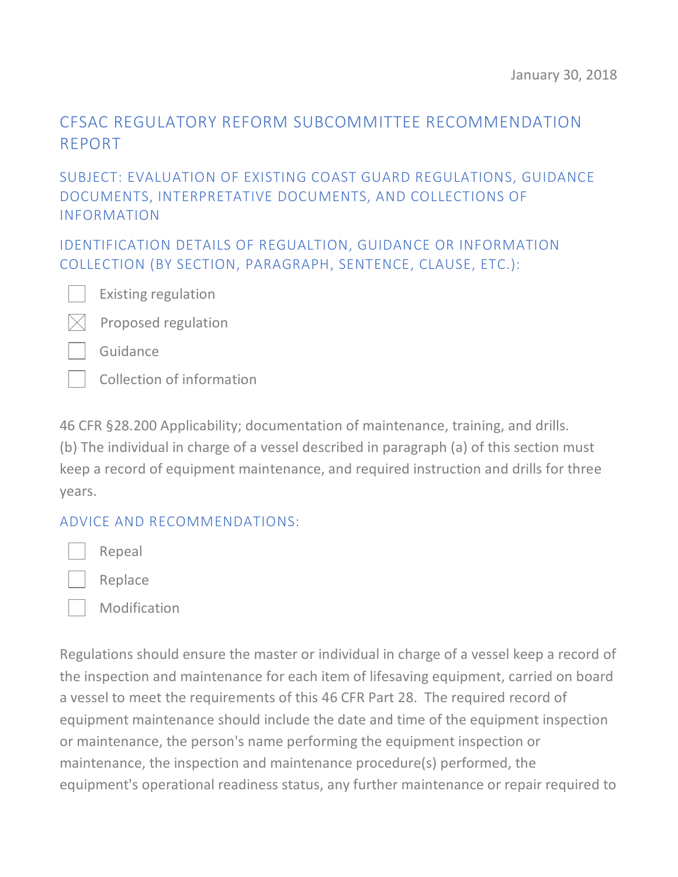# CFSAC REGULATORY REFORM SUBCOMMITTEE RECOMMENDATION REPORT

#### SUBJECT: EVALUATION OF EXISTING COAST GUARD REGULATIONS, GUIDANCE DOCUMENTS, INTERPRETATIVE DOCUMENTS, AND COLLECTIONS OF INFORMATION

IDENTIFICATION DETAILS OF REGUALTION, GUIDANCE OR INFORMATION COLLECTION (BY SECTION, PARAGRAPH, SENTENCE, CLAUSE, ETC.):

Existing regulation



Guidance

Collection of information

46 CFR §28.200 Applicability; documentation of maintenance, training, and drills. (b) The individual in charge of a vessel described in paragraph (a) of this section must keep a record of equipment maintenance, and required instruction and drills for three years.

#### ADVICE AND RECOMMENDATIONS:

Repeal

Replace

Modification

Regulations should ensure the master or individual in charge of a vessel keep a record of the inspection and maintenance for each item of lifesaving equipment, carried on board a vessel to meet the requirements of this 46 CFR Part 28. The required record of equipment maintenance should include the date and time of the equipment inspection or maintenance, the person's name performing the equipment inspection or maintenance, the inspection and maintenance procedure(s) performed, the equipment's operational readiness status, any further maintenance or repair required to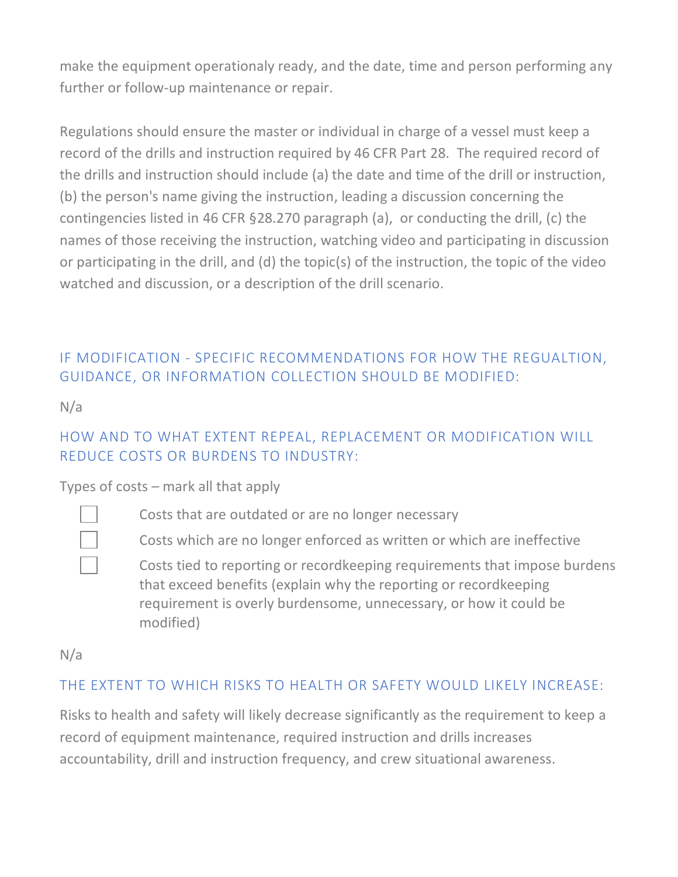make the equipment operationaly ready, and the date, time and person performing any further or follow-up maintenance or repair.

Regulations should ensure the master or individual in charge of a vessel must keep a record of the drills and instruction required by 46 CFR Part 28. The required record of the drills and instruction should include (a) the date and time of the drill or instruction, (b) the person's name giving the instruction, leading a discussion concerning the contingencies listed in 46 CFR §28.270 paragraph (a), or conducting the drill, (c) the names of those receiving the instruction, watching video and participating in discussion or participating in the drill, and (d) the topic(s) of the instruction, the topic of the video watched and discussion, or a description of the drill scenario.

## IF MODIFICATION - SPECIFIC RECOMMENDATIONS FOR HOW THE REGUALTION, GUIDANCE, OR INFORMATION COLLECTION SHOULD BE MODIFIED:

N/a

#### HOW AND TO WHAT EXTENT REPEAL, REPLACEMENT OR MODIFICATION WILL REDUCE COSTS OR BURDENS TO INDUSTRY:

Types of costs – mark all that apply



Costs that are outdated or are no longer necessary

Costs which are no longer enforced as written or which are ineffective

Costs tied to reporting or recordkeeping requirements that impose burdens that exceed benefits (explain why the reporting or recordkeeping requirement is overly burdensome, unnecessary, or how it could be modified)

N/a

### THE EXTENT TO WHICH RISKS TO HEALTH OR SAFETY WOULD LIKELY INCREASE:

Risks to health and safety will likely decrease significantly as the requirement to keep a record of equipment maintenance, required instruction and drills increases accountability, drill and instruction frequency, and crew situational awareness.